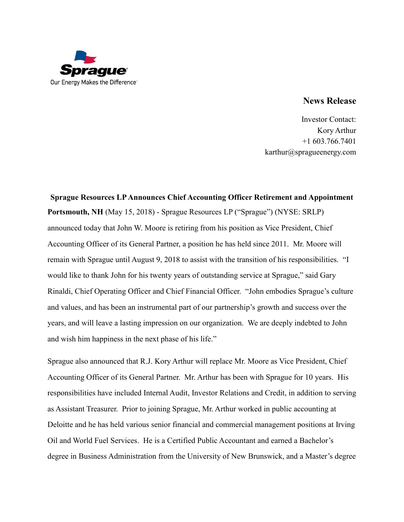

## **News Release**

Investor Contact: Kory Arthur +1 603.766.7401 karthur@spragueenergy.com

## **Sprague Resources LP Announces Chief Accounting Officer Retirement and Appointment Portsmouth, NH** (May 15, 2018) - Sprague Resources LP ("Sprague") (NYSE: SRLP) announced today that John W. Moore is retiring from his position as Vice President, Chief Accounting Officer of its General Partner, a position he has held since 2011. Mr. Moore will remain with Sprague until August 9, 2018 to assist with the transition of his responsibilities. "I would like to thank John for his twenty years of outstanding service at Sprague," said Gary Rinaldi, Chief Operating Officer and Chief Financial Officer. "John embodies Sprague's culture and values, and has been an instrumental part of our partnership's growth and success over the years, and will leave a lasting impression on our organization. We are deeply indebted to John and wish him happiness in the next phase of his life."

Sprague also announced that R.J. Kory Arthur will replace Mr. Moore as Vice President, Chief Accounting Officer of its General Partner. Mr. Arthur has been with Sprague for 10 years. His responsibilities have included Internal Audit, Investor Relations and Credit, in addition to serving as Assistant Treasurer. Prior to joining Sprague, Mr. Arthur worked in public accounting at Deloitte and he has held various senior financial and commercial management positions at Irving Oil and World Fuel Services. He is a Certified Public Accountant and earned a Bachelor's degree in Business Administration from the University of New Brunswick, and a Master's degree